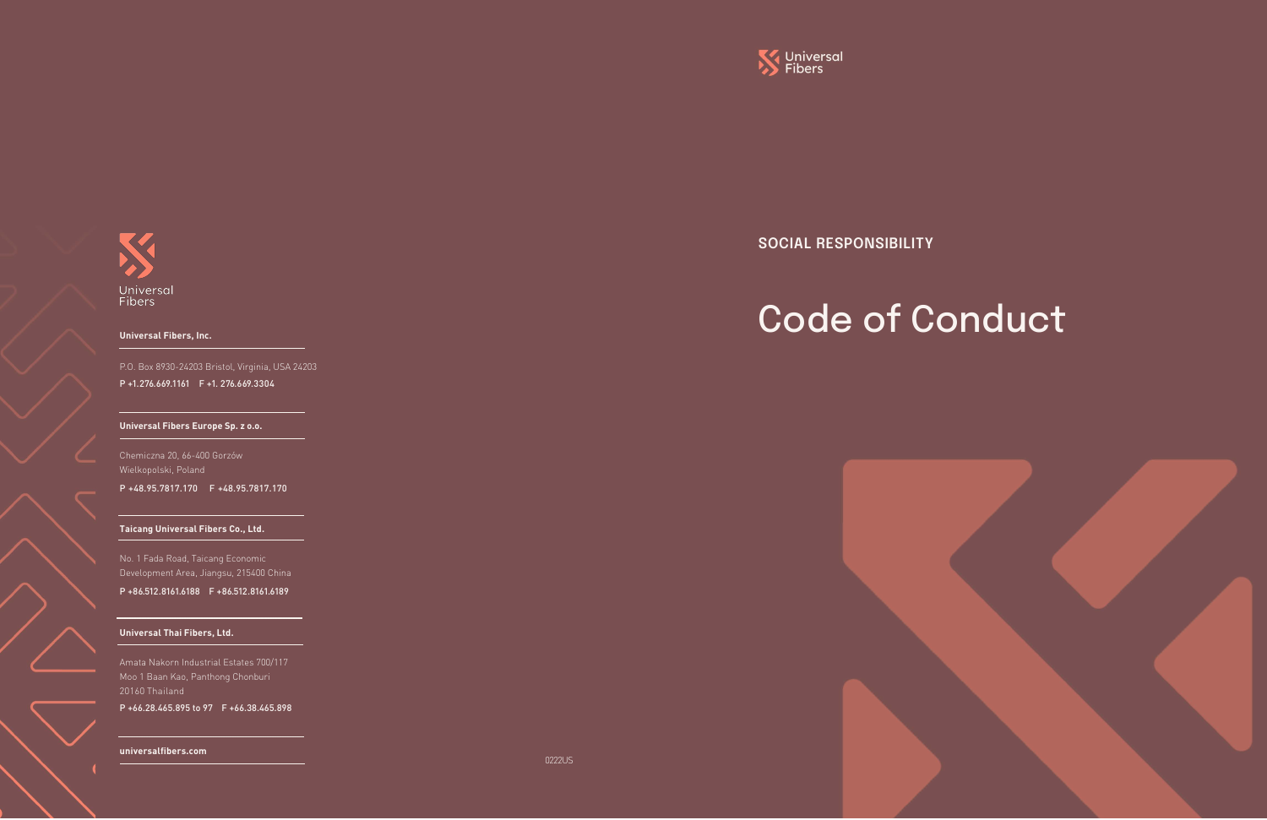

Universal<br>Fibers

0222US



#### **Universal Fibers, Inc.**

P.O. Box 8930-24203 Bristol, Virginia, USA 24203 P +1.276.669.1161 F +1. 276.669.3304

### **Universal Fibers Europe Sp. z o.o.**

## **Taicang Universal Fibers Co., Ltd.**

No. 1 Fada Road, Taicang Economic Development Area, Jiangsu, 215400 China

P +86.512.8161.6188 F +86.512.8161.6189

# **Universal Thai Fibers, Ltd.**

Amata Nakorn Industrial Estates 700/117 Moo 1 Baan Kao, Panthong Chonburi 20160 Thailand

P +66.28.465.895 to 97 F +66.38.465.898

### **universalfibers.com**

Chemiczna 20, 66-400 Gorzów Wielkopolski, Poland

P +48.95.7817.170 F +48.95.7817.170

**SOCIAL RESPONSIBILITY**

# Code of Conduct